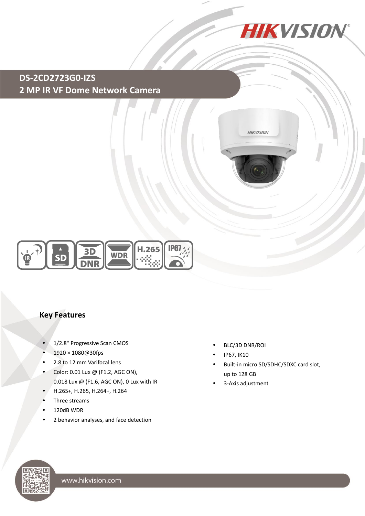

**HIKVISION** 

### **DS-2CD2723G0-IZS 2 MP IR VF Dome Network Camera**



#### **Key Features**

- 1/2.8" Progressive Scan CMOS
- 1920 × 1080@30fps
- 2.8 to 12 mm Varifocal lens
- Color: 0.01 Lux @ (F1.2, AGC ON), 0.018 Lux @ (F1.6, AGC ON), 0 Lux with IR
- H.265+, H.265, H.264+, H.264
- Three streams
- 120dB WDR
- 2 behavior analyses, and face detection
- BLC/3D DNR/ROI
- IP67, IK10
- Built-in micro SD/SDHC/SDXC card slot, up to 128 GB
- 3-Axis adjustment

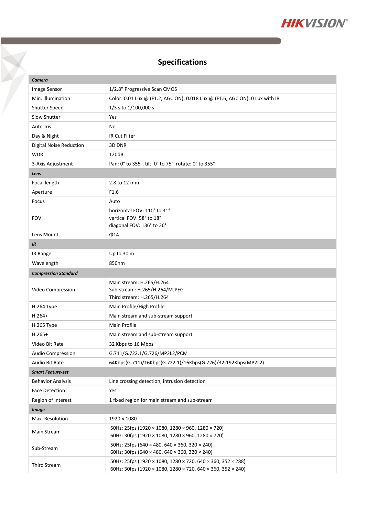

## **Specifications**

Y

| Camera                         |                                                                             |  |
|--------------------------------|-----------------------------------------------------------------------------|--|
| Image Sensor                   | 1/2.8" Progressive Scan CMOS                                                |  |
| Min. Illumination              | Color: 0.01 Lux @ (F1.2, AGC ON), 0.018 Lux @ (F1.6, AGC ON), 0 Lux with IR |  |
| Shutter Speed                  | 1/3 s to 1/100,000 s                                                        |  |
| Slow Shutter                   | Yes                                                                         |  |
| Auto-Iris                      | No                                                                          |  |
| Day & Night                    | <b>IR Cut Filter</b>                                                        |  |
| <b>Digital Noise Reduction</b> | 3D DNR                                                                      |  |
| <b>WDR</b>                     | 120dB                                                                       |  |
| 3-Axis Adjustment              | Pan: 0° to 355°, tilt: 0° to 75°, rotate: 0° to 355°                        |  |
| Lens                           |                                                                             |  |
| Focal length                   | 2.8 to 12 mm                                                                |  |
| Aperture                       | F <sub>1.6</sub>                                                            |  |
| Focus                          | Auto                                                                        |  |
| <b>FOV</b>                     | horizontal FOV: 110° to 31°                                                 |  |
|                                | vertical FOV: 58° to 18°                                                    |  |
|                                | diagonal FOV: 136° to 36°                                                   |  |
| Lens Mount                     | $\Phi$ 14                                                                   |  |
| IR                             |                                                                             |  |
| IR Range                       | Up to 30 m                                                                  |  |
| Wavelength                     | 850nm                                                                       |  |
| <b>Compression Standard</b>    |                                                                             |  |
| Video Compression              | Main stream: H.265/H.264                                                    |  |
|                                | Sub-stream: H.265/H.264/MJPEG<br>Third stream: H.265/H.264                  |  |
| H.264 Type                     | Main Profile/High Profile                                                   |  |
| $H.264+$                       | Main stream and sub-stream support                                          |  |
| H.265 Type                     | Main Profile                                                                |  |
| $H.265+$                       | Main stream and sub-stream support                                          |  |
| Video Bit Rate                 | 32 Kbps to 16 Mbps                                                          |  |
| Audio Compression              | G.711/G.722.1/G.726/MP2L2/PCM                                               |  |
| Audio Bit Rate                 | 64Kbps(G.711)/16Kbps(G.722.1)/16Kbps(G.726)/32-192Kbps(MP2L2)               |  |
| <b>Smart Feature-set</b>       |                                                                             |  |
| <b>Behavior Analysis</b>       | Line crossing detection, intrusion detection                                |  |
| <b>Face Detection</b>          | Yes                                                                         |  |
| Region of Interest             | 1 fixed region for main stream and sub-stream                               |  |
| <b>Image</b>                   |                                                                             |  |
| Max. Resolution                | $1920 \times 1080$                                                          |  |
| Main Stream                    | 50Hz: 25fps (1920 × 1080, 1280 × 960, 1280 × 720)                           |  |
|                                | 60Hz: 30fps (1920 × 1080, 1280 × 960, 1280 × 720)                           |  |
| Sub-Stream                     | 50Hz: 25fps (640 × 480, 640 × 360, 320 × 240)                               |  |
|                                | 60Hz: 30fps (640 × 480, 640 × 360, 320 × 240)                               |  |
| <b>Third Stream</b>            | 50Hz: 25fps (1920 × 1080, 1280 × 720, 640 × 360, 352 × 288)                 |  |
|                                | 60Hz: 30fps (1920 × 1080, 1280 × 720, 640 × 360, 352 × 240)                 |  |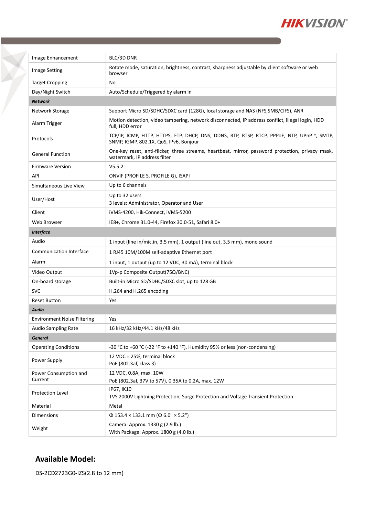

| Image Enhancement                  | BLC/3D DNR                                                                                                                           |  |
|------------------------------------|--------------------------------------------------------------------------------------------------------------------------------------|--|
| <b>Image Setting</b>               | Rotate mode, saturation, brightness, contrast, sharpness adjustable by client software or web<br>browser                             |  |
| <b>Target Cropping</b>             | No                                                                                                                                   |  |
| Day/Night Switch                   | Auto/Schedule/Triggered by alarm in                                                                                                  |  |
| <b>Network</b>                     |                                                                                                                                      |  |
| Network Storage                    | Support Micro SD/SDHC/SDXC card (128G), local storage and NAS (NFS, SMB/CIFS), ANR                                                   |  |
| Alarm Trigger                      | Motion detection, video tampering, network disconnected, IP address conflict, illegal login, HDD<br>full, HDD error                  |  |
| Protocols                          | TCP/IP, ICMP, HTTP, HTTPS, FTP, DHCP, DNS, DDNS, RTP, RTSP, RTCP, PPPoE, NTP, UPnP™, SMTP,<br>SNMP, IGMP, 802.1X, QoS, IPv6, Bonjour |  |
| <b>General Function</b>            | One-key reset, anti-flicker, three streams, heartbeat, mirror, password protection, privacy mask,<br>watermark, IP address filter    |  |
| <b>Firmware Version</b>            | V5.5.2                                                                                                                               |  |
| API                                | ONVIF (PROFILE S, PROFILE G), ISAPI                                                                                                  |  |
| Simultaneous Live View             | Up to 6 channels                                                                                                                     |  |
| User/Host                          | Up to 32 users<br>3 levels: Administrator, Operator and User                                                                         |  |
| Client                             | iVMS-4200, Hik-Connect, iVMS-5200                                                                                                    |  |
| Web Browser                        | IE8+, Chrome 31.0-44, Firefox 30.0-51, Safari 8.0+                                                                                   |  |
| <b>Interface</b>                   |                                                                                                                                      |  |
| Audio                              | 1 input (line in/mic.in, 3.5 mm), 1 output (line out, 3.5 mm), mono sound                                                            |  |
| <b>Communication Interface</b>     | 1 RJ45 10M/100M self-adaptive Ethernet port                                                                                          |  |
| Alarm                              | 1 input, 1 output (up to 12 VDC, 30 mA), terminal block                                                                              |  |
| Video Output                       | 1Vp-p Composite Output(75Ω/BNC)                                                                                                      |  |
| On-board storage                   | Built-in Micro SD/SDHC/SDXC slot, up to 128 GB                                                                                       |  |
| <b>SVC</b>                         | H.264 and H.265 encoding                                                                                                             |  |
| <b>Reset Button</b>                | Yes                                                                                                                                  |  |
| <b>Audio</b>                       |                                                                                                                                      |  |
| <b>Environment Noise Filtering</b> | Yes                                                                                                                                  |  |
| Audio Sampling Rate                | 16 kHz/32 kHz/44.1 kHz/48 kHz                                                                                                        |  |
| <b>General</b>                     |                                                                                                                                      |  |
| <b>Operating Conditions</b>        | -30 °C to +60 °C (-22 °F to +140 °F), Humidity 95% or less (non-condensing)                                                          |  |
| Power Supply                       | 12 VDC ± 25%, terminal block<br>PoE (802.3af, class 3)                                                                               |  |
| Power Consumption and<br>Current   | 12 VDC, 0.8A, max. 10W<br>PoE (802.3af, 37V to 57V), 0.35A to 0.2A, max. 12W                                                         |  |
| Protection Level                   | IP67, IK10<br>TVS 2000V Lightning Protection, Surge Protection and Voltage Transient Protection                                      |  |
| Material                           | Metal                                                                                                                                |  |
| <b>Dimensions</b>                  | $\Phi$ 153.4 × 133.1 mm ( $\Phi$ 6.0" × 5.2")                                                                                        |  |
| Weight                             | Camera: Approx. 1330 g (2.9 lb.)<br>With Package: Approx. 1800 g (4.0 lb.)                                                           |  |

#### **Available Model:**

X

DS-2CD2723G0-IZS(2.8 to 12 mm)